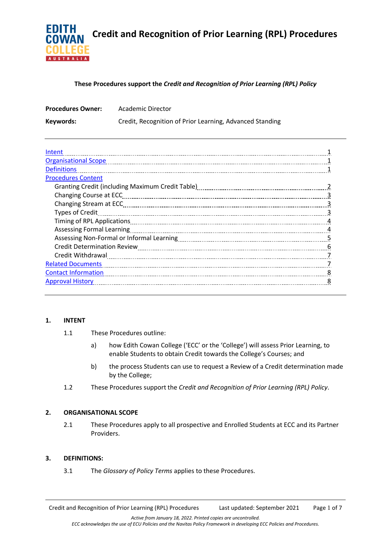

# **These Procedures support the** *Credit and Recognition of Prior Learning (RPL) Policy*

| <b>Procedures Owner:</b> | Academic Director                                        |  |
|--------------------------|----------------------------------------------------------|--|
| Keywords:                | Credit, Recognition of Prior Learning, Advanced Standing |  |

| Intent                                                                      |   |
|-----------------------------------------------------------------------------|---|
| <b>Organisational Scope</b>                                                 |   |
| <b>Definitions</b>                                                          |   |
| <b>Procedures Content</b>                                                   |   |
|                                                                             |   |
| Changing Course at ECC                                                      |   |
|                                                                             |   |
| <b>Types of Credit</b>                                                      |   |
|                                                                             |   |
|                                                                             |   |
|                                                                             |   |
|                                                                             | 6 |
|                                                                             |   |
| <b>Related Documents</b>                                                    |   |
| Contact Information <b>Material Contact Information Contact Information</b> |   |
| <b>Approval History</b>                                                     |   |
|                                                                             |   |

# **1. INTENT**

- 1.1 These Procedures outline:
	- a) how Edith Cowan College ('ECC' or the 'College') will assess Prior Learning, to enable Students to obtain Credit towards the College's Courses; and
	- b) the process Students can use to request a Review of a Credit determination made by the College;
- 1.2 These Procedures support the *Credit and Recognition of Prior Learning (RPL) Policy*.

### **2. ORGANISATIONAL SCOPE**

2.1 These Procedures apply to all prospective and Enrolled Students at ECC and its Partner Providers.

# **3. DEFINITIONS:**

3.1 The *Glossary of Policy Terms* applies to these Procedures.

Credit and Recognition of Prior Learning (RPL) Procedures Last updated: September 2021 Page 1 of 7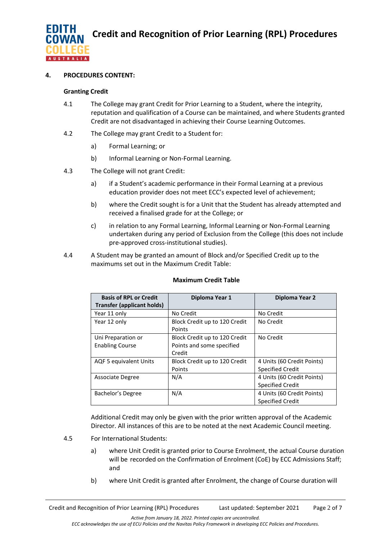

# **4. PROCEDURES CONTENT:**

### **Granting Credit**

- 4.1 The College may grant Credit for Prior Learning to a Student, where the integrity, reputation and qualification of a Course can be maintained, and where Students granted Credit are not disadvantaged in achieving their Course Learning Outcomes.
- 4.2 The College may grant Credit to a Student for:
	- a) Formal Learning; or
	- b) Informal Learning or Non-Formal Learning.
- 4.3 The College will not grant Credit:
	- a) if a Student's academic performance in their Formal Learning at a previous education provider does not meet ECC's expected level of achievement;
	- b) where the Credit sought is for a Unit that the Student has already attempted and received a finalised grade for at the College; or
	- c) in relation to any Formal Learning, Informal Learning or Non-Formal Learning undertaken during any period of Exclusion from the College (this does not include pre-approved cross-institutional studies).
- 4.4 A Student may be granted an amount of Block and/or Specified Credit up to the maximums set out in the [Maximum Credit Table:](https://www.google.com/url?sa=t&rct=j&q=&esrc=s&source=web&cd=1&cad=rja&uact=8&ved=2ahUKEwjv64KzxJ_kAhXT73MBHbOkB90QFjAAegQIABAC&url=http%3A%2F%2Fintranet.ecu.edu.au%2F__data%2Fassets%2Fpdf_file%2F0005%2F784274%2FAdvanced-Standing-Maximum-Credit-Table.pdf&usg=AOvVaw03C1tCO1QEsEYV-R914Eaf)

| <b>Basis of RPL or Credit</b>     | Diploma Year 1                | Diploma Year 2             |
|-----------------------------------|-------------------------------|----------------------------|
| <b>Transfer (applicant holds)</b> |                               |                            |
| Year 11 only                      | No Credit                     | No Credit                  |
| Year 12 only                      | Block Credit up to 120 Credit | No Credit                  |
|                                   | Points                        |                            |
| Uni Preparation or                | Block Credit up to 120 Credit | No Credit                  |
| <b>Enabling Course</b>            | Points and some specified     |                            |
|                                   | Credit                        |                            |
| AQF 5 equivalent Units            | Block Credit up to 120 Credit | 4 Units (60 Credit Points) |
|                                   | Points                        | <b>Specified Credit</b>    |
| Associate Degree                  | N/A                           | 4 Units (60 Credit Points) |
|                                   |                               | <b>Specified Credit</b>    |
| Bachelor's Degree                 | N/A                           | 4 Units (60 Credit Points) |
|                                   |                               | <b>Specified Credit</b>    |

### **Maximum Credit Table**

Additional Credit may only be given with the prior written approval of the Academic Director. All instances of this are to be noted at the next Academic Council meeting.

- 4.5 For International Students:
	- a) where Unit Credit is granted prior to Course Enrolment, the actual Course duration will be recorded on the Confirmation of Enrolment (CoE) by ECC Admissions Staff; and
	- b) where Unit Credit is granted after Enrolment, the change of Course duration will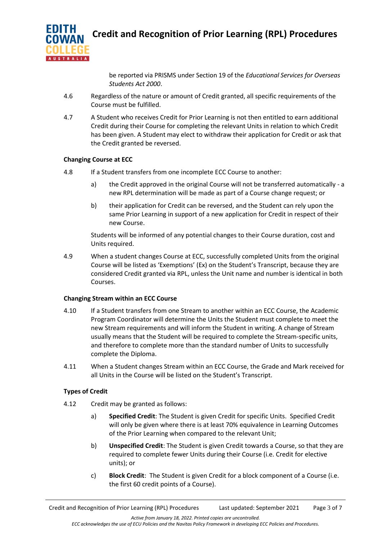

be reported via PRISMS under Section 19 of the *Educational Services for Overseas Students Act 2000*.

- 4.6 Regardless of the nature or amount of Credit granted, all specific requirements of the Course must be fulfilled.
- 4.7 A Student who receives Credit for Prior Learning is not then entitled to earn additional Credit during their Course for completing the relevant Units in relation to which Credit has been given. A Student may elect to withdraw their application for Credit or ask that the Credit granted be reversed.

# **Changing Course at ECC**

- 4.8 If a Student transfers from one incomplete ECC Course to another:
	- a) the Credit approved in the original Course will not be transferred automatically a new RPL determination will be made as part of a Course change request; or
	- b) their application for Credit can be reversed, and the Student can rely upon the same Prior Learning in support of a new application for Credit in respect of their new Course.

Students will be informed of any potential changes to their Course duration, cost and Units required.

4.9 When a student changes Course at ECC, successfully completed Units from the original Course will be listed as 'Exemptions' (Ex) on the Student's Transcript, because they are considered Credit granted via RPL, unless the Unit name and number is identical in both Courses.

# **Changing Stream within an ECC Course**

- 4.10 If a Student transfers from one Stream to another within an ECC Course, the Academic Program Coordinator will determine the Units the Student must complete to meet the new Stream requirements and will inform the Student in writing. A change of Stream usually means that the Student will be required to complete the Stream-specific units, and therefore to complete more than the standard number of Units to successfully complete the Diploma.
- 4.11 When a Student changes Stream within an ECC Course, the Grade and Mark received for all Units in the Course will be listed on the Student's Transcript.

# **Types of Credit**

- 4.12 Credit may be granted as follows:
	- a) **Specified Credit**: The Student is given Credit for specific Units. Specified Credit will only be given where there is at least 70% equivalence in Learning Outcomes of the Prior Learning when compared to the relevant Unit;
	- b) **Unspecified Credit**: The Student is given Credit towards a Course, so that they are required to complete fewer Units during their Course (i.e. Credit for elective units); or
	- c) **Block Credit**: The Student is given Credit for a block component of a Course (i.e. the first 60 credit points of a Course).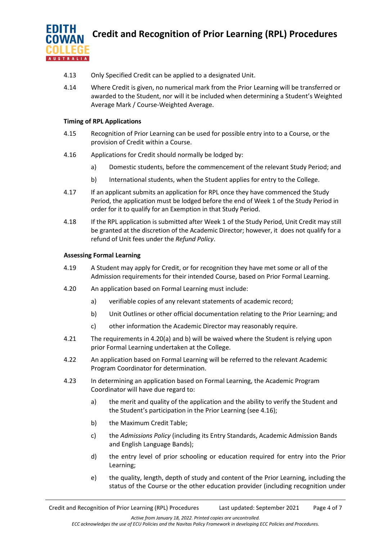

- 4.13 Only Specified Credit can be applied to a designated Unit.
- 4.14 Where Credit is given, no numerical mark from the Prior Learning will be transferred or awarded to the Student, nor will it be included when determining a Student's Weighted Average Mark / Course-Weighted Average.

## **Timing of RPL Applications**

- 4.15 Recognition of Prior Learning can be used for possible entry into to a Course, or the provision of Credit within a Course.
- 4.16 Applications for Credit should normally be lodged by:
	- a) Domestic students, before the commencement of the relevant Study Period; and
	- b) International students, when the Student applies for entry to the College.
- 4.17 If an applicant submits an application for RPL once they have commenced the Study Period, the application must be lodged before the end of Week 1 of the Study Period in order for it to qualify for an Exemption in that Study Period.
- 4.18 If the RPL application is submitted after Week 1 of the Study Period, Unit Credit may still be granted at the discretion of the Academic Director; however, it does not qualify for a refund of Unit fees under the *Refund Policy*.

### **Assessing Formal Learning**

- 4.19 A Student may apply for Credit, or for recognition they have met some or all of the Admission requirements for their intended Course, based on Prior Formal Learning.
- 4.20 An application based on Formal Learning must include:
	- a) verifiable copies of any relevant statements of academic record;
	- b) Unit Outlines or other official documentation relating to the Prior Learning; and
	- c) other information the Academic Director may reasonably require.
- 4.21 The requirements in 4.20(a) and b) will be waived where the Student is relying upon prior Formal Learning undertaken at the College.
- 4.22 An application based on Formal Learning will be referred to the relevant Academic Program Coordinator for determination.
- 4.23 In determining an application based on Formal Learning, the Academic Program Coordinator will have due regard to:
	- a) the merit and quality of the application and the ability to verify the Student and the Student's participation in the Prior Learning (see 4.16);
	- b) th[e Maximum Credit Table;](https://www.google.com/url?sa=t&rct=j&q=&esrc=s&source=web&cd=1&cad=rja&uact=8&ved=2ahUKEwjv64KzxJ_kAhXT73MBHbOkB90QFjAAegQIABAC&url=http%3A%2F%2Fintranet.ecu.edu.au%2F__data%2Fassets%2Fpdf_file%2F0005%2F784274%2FAdvanced-Standing-Maximum-Credit-Table.pdf&usg=AOvVaw03C1tCO1QEsEYV-R914Eaf)
	- c) the *[Admissions Policy](http://policysearch.ecu.edu.au/WebDrawer.PolicySearch/Record/585/file/document)* (including its Entry Standards, Academic Admission Bands and English Language Bands);
	- d) the entry level of prior schooling or education required for entry into the Prior Learning;
	- e) the quality, length, depth of study and content of the Prior Learning, including the status of the Course or the other education provider (including recognition under

*Active from January 18, 2022. Printed copies are uncontrolled.*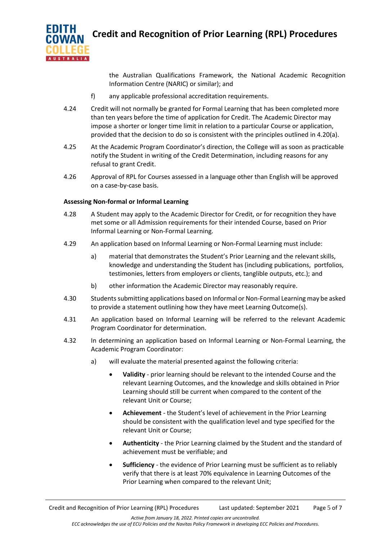

the Australian Qualifications Framework, the National Academic Recognition Information Centre (NARIC) or similar); and

- f) any applicable professional accreditation requirements.
- 4.24 Credit will not normally be granted for Formal Learning that has been completed more than ten years before the time of application for Credit. The Academic Director may impose a shorter or longer time limit in relation to a particular Course or application, provided that the decision to do so is consistent with the principles outlined in 4.20(a).
- 4.25 At the Academic Program Coordinator's direction, the College will as soon as practicable notify the Student in writing of the Credit Determination, including reasons for any refusal to grant Credit.
- 4.26 Approval of RPL for Courses assessed in a language other than English will be approved on a case-by-case basis.

# **Assessing Non-formal or Informal Learning**

- 4.28 A Student may apply to the Academic Director for Credit, or for recognition they have met some or all Admission requirements for their intended Course, based on Prior Informal Learning or Non-Formal Learning.
- 4.29 An application based on Informal Learning or Non-Formal Learning must include:
	- a) material that demonstrates the Student's Prior Learning and the relevant skills, knowledge and understanding the Student has (including publications, portfolios, testimonies, letters from employers or clients, tanglible outputs, etc.); and
	- b) other information the Academic Director may reasonably require.
- 4.30 Students submitting applications based on Informal or Non-Formal Learning may be asked to provide a statement outlining how they have meet Learning Outcome(s).
- 4.31 An application based on Informal Learning will be referred to the relevant Academic Program Coordinator for determination.
- 4.32 In determining an application based on Informal Learning or Non-Formal Learning, the Academic Program Coordinator:
	- a) will evaluate the material presented against the following criteria:
		- **Validity**  prior learning should be relevant to the intended Course and the relevant Learning Outcomes, and the knowledge and skills obtained in Prior Learning should still be current when compared to the content of the relevant Unit or Course;
		- **Achievement** the Student's level of achievement in the Prior Learning should be consistent with the qualification level and type specified for the relevant Unit or Course;
		- **Authenticity** the Prior Learning claimed by the Student and the standard of achievement must be verifiable; and
		- **Sufficiency** the evidence of Prior Learning must be sufficient as to reliably verify that there is at least 70% equivalence in Learning Outcomes of the Prior Learning when compared to the relevant Unit;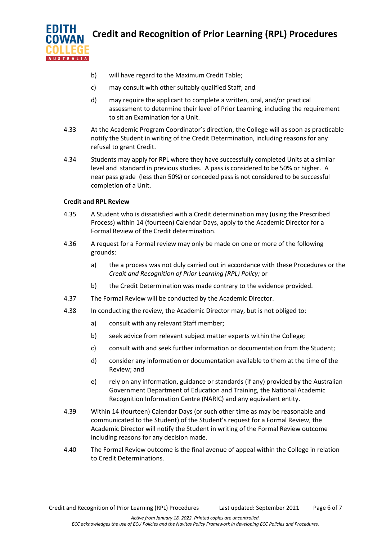

- b) will have regard to the [Maximum Credit Table;](https://www.google.com/url?sa=t&rct=j&q=&esrc=s&source=web&cd=1&cad=rja&uact=8&ved=2ahUKEwjv64KzxJ_kAhXT73MBHbOkB90QFjAAegQIABAC&url=http%3A%2F%2Fintranet.ecu.edu.au%2F__data%2Fassets%2Fpdf_file%2F0005%2F784274%2FAdvanced-Standing-Maximum-Credit-Table.pdf&usg=AOvVaw03C1tCO1QEsEYV-R914Eaf)
- c) may consult with other suitably qualified Staff; and
- d) may require the applicant to complete a written, oral, and/or practical assessment to determine their level of Prior Learning, including the requirement to sit an Examination for a Unit.
- 4.33 At the Academic Program Coordinator's direction, the College will as soon as practicable notify the Student in writing of the Credit Determination, including reasons for any refusal to grant Credit.
- 4.34 Students may apply for RPL where they have successfully completed Units at a similar level and standard in previous studies. A pass is considered to be 50% or higher. A near pass grade (less than 50%) or conceded pass is not considered to be successful completion of a Unit.

# **Credit and RPL Review**

- 4.35 A Student who is dissatisfied with a Credit determination may (using the Prescribed Process) within 14 (fourteen) Calendar Days, apply to the Academic Director for a Formal Review of the Credit determination.
- 4.36 A request for a Formal review may only be made on one or more of the following grounds:
	- a) the a process was not duly carried out in accordance with these Procedures or the *[Credit and Recognition of Prior Learning \(RPL\) Policy;](http://policysearch.ecu.edu.au/WebDrawer.PolicySearch/Record/608/file/document)* or
	- b) the Credit Determination was made contrary to the evidence provided.
- 4.37 The Formal Review will be conducted by the Academic Director.
- 4.38 In conducting the review, the Academic Director may, but is not obliged to:
	- a) consult with any relevant Staff member;
	- b) seek advice from relevant subject matter experts within the College;
	- c) consult with and seek further information or documentation from the Student;
	- d) consider any information or documentation available to them at the time of the Review; and
	- e) rely on any information, guidance or standards (if any) provided by the Australian Government Department of Education and Training, the National Academic Recognition Information Centre (NARIC) and any equivalent entity.
- 4.39 Within 14 (fourteen) Calendar Days (or such other time as may be reasonable and communicated to the Student) of the Student's request for a Formal Review, the Academic Director will notify the Student in writing of the Formal Review outcome including reasons for any decision made.
- 4.40 The Formal Review outcome is the final avenue of appeal within the College in relation to Credit Determinations.